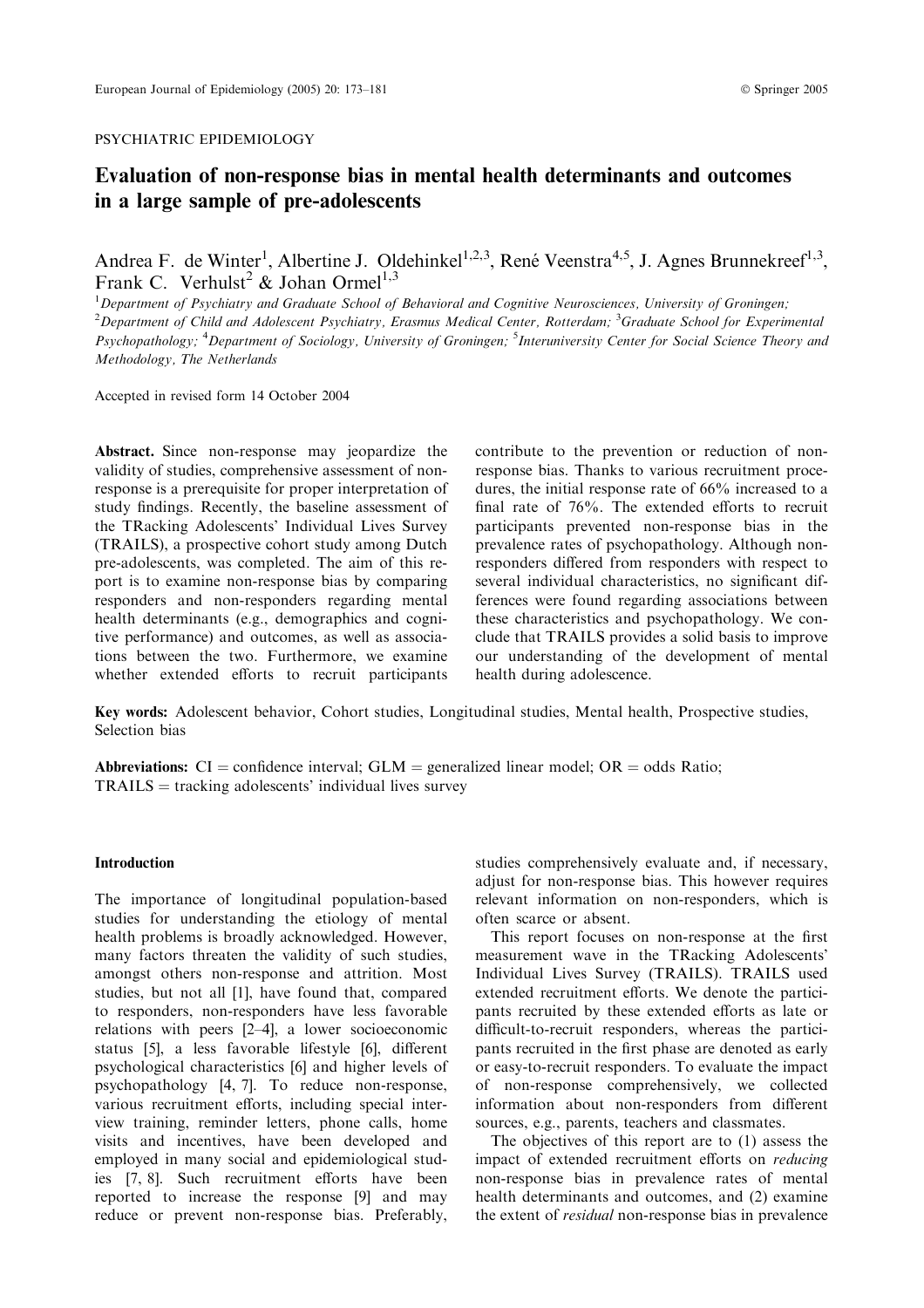### PSYCHIATRIC EPIDEMIOLOGY

# Evaluation of non-response bias in mental health determinants and outcomes in a large sample of pre-adolescents

Andrea F. de Winter<sup>1</sup>, Albertine J. Oldehinkel<sup>1,2,3</sup>, René Veenstra<sup>4,5</sup>, J. Agnes Brunnekreef<sup>1,3</sup>, Frank C. Verhulst<sup>2</sup> & Johan Ormel<sup>1,3</sup>

<sup>1</sup>Department of Psychiatry and Graduate School of Behavioral and Cognitive Neurosciences, University of Groningen;  $^2$ Department of Child and Adolescent Psychiatry, Erasmus Medical Center, Rotterdam;  $^3$ Graduate School for Experimental Psychopathology; <sup>4</sup>Department of Sociology, University of Groningen; <sup>5</sup>Interuniversity Center for Social Science Theory and Methodology, The Netherlands

Accepted in revised form 14 October 2004

Abstract. Since non-response may jeopardize the validity of studies, comprehensive assessment of nonresponse is a prerequisite for proper interpretation of study findings. Recently, the baseline assessment of the TRacking Adolescents' Individual Lives Survey (TRAILS), a prospective cohort study among Dutch pre-adolescents, was completed. The aim of this report is to examine non-response bias by comparing responders and non-responders regarding mental health determinants (e.g., demographics and cognitive performance) and outcomes, as well as associations between the two. Furthermore, we examine whether extended efforts to recruit participants

contribute to the prevention or reduction of nonresponse bias. Thanks to various recruitment procedures, the initial response rate of 66% increased to a final rate of 76%. The extended efforts to recruit participants prevented non-response bias in the prevalence rates of psychopathology. Although nonresponders differed from responders with respect to several individual characteristics, no significant differences were found regarding associations between these characteristics and psychopathology. We conclude that TRAILS provides a solid basis to improve our understanding of the development of mental health during adolescence.

Key words: Adolescent behavior, Cohort studies, Longitudinal studies, Mental health, Prospective studies, Selection bias

Abbreviations:  $CI =$  confidence interval;  $GLM =$  generalized linear model;  $OR =$  odds Ratio;  $TRAILS = tracking$  adolescents' individual lives survey

#### Introduction

The importance of longitudinal population-based studies for understanding the etiology of mental health problems is broadly acknowledged. However, many factors threaten the validity of such studies, amongst others non-response and attrition. Most studies, but not all [1], have found that, compared to responders, non-responders have less favorable relations with peers [2–4], a lower socioeconomic status [5], a less favorable lifestyle [6], different psychological characteristics [6] and higher levels of psychopathology [4, 7]. To reduce non-response, various recruitment efforts, including special interview training, reminder letters, phone calls, home visits and incentives, have been developed and employed in many social and epidemiological studies [7, 8]. Such recruitment efforts have been reported to increase the response [9] and may reduce or prevent non-response bias. Preferably,

studies comprehensively evaluate and, if necessary, adjust for non-response bias. This however requires relevant information on non-responders, which is often scarce or absent.

This report focuses on non-response at the first measurement wave in the TRacking Adolescents' Individual Lives Survey (TRAILS). TRAILS used extended recruitment efforts. We denote the participants recruited by these extended efforts as late or difficult-to-recruit responders, whereas the participants recruited in the first phase are denoted as early or easy-to-recruit responders. To evaluate the impact of non-response comprehensively, we collected information about non-responders from different sources, e.g., parents, teachers and classmates.

The objectives of this report are to (1) assess the impact of extended recruitment efforts on reducing non-response bias in prevalence rates of mental health determinants and outcomes, and (2) examine the extent of residual non-response bias in prevalence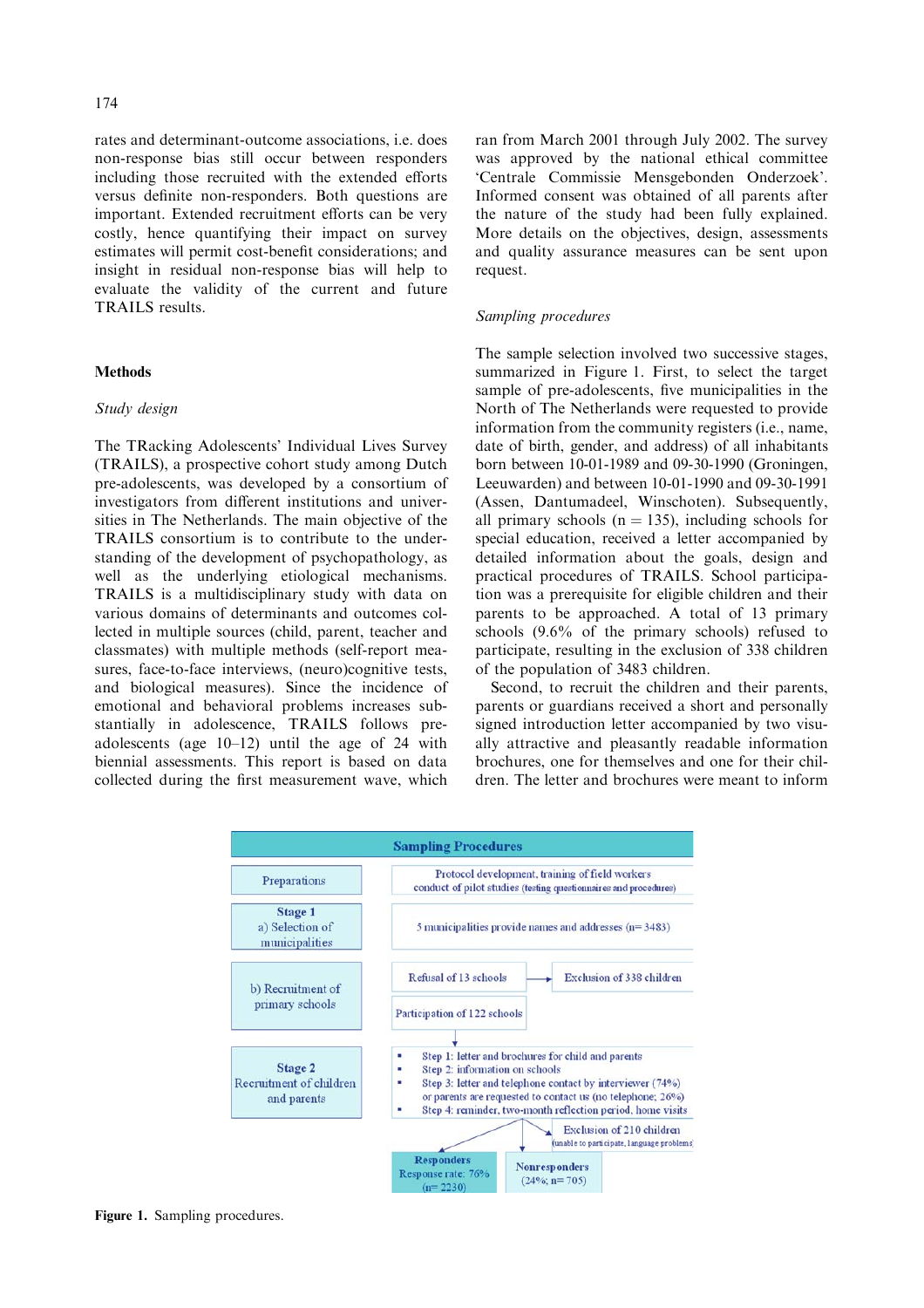rates and determinant-outcome associations, i.e. does non-response bias still occur between responders including those recruited with the extended efforts versus definite non-responders. Both questions are important. Extended recruitment efforts can be very costly, hence quantifying their impact on survey estimates will permit cost-benefit considerations; and insight in residual non-response bias will help to evaluate the validity of the current and future TRAILS results.

## Methods

## Study design

The TRacking Adolescents' Individual Lives Survey (TRAILS), a prospective cohort study among Dutch pre-adolescents, was developed by a consortium of investigators from different institutions and universities in The Netherlands. The main objective of the TRAILS consortium is to contribute to the understanding of the development of psychopathology, as well as the underlying etiological mechanisms. TRAILS is a multidisciplinary study with data on various domains of determinants and outcomes collected in multiple sources (child, parent, teacher and classmates) with multiple methods (self-report measures, face-to-face interviews, (neuro)cognitive tests, and biological measures). Since the incidence of emotional and behavioral problems increases substantially in adolescence, TRAILS follows preadolescents (age 10–12) until the age of 24 with biennial assessments. This report is based on data collected during the first measurement wave, which

ran from March 2001 through July 2002. The survey was approved by the national ethical committee 'Centrale Commissie Mensgebonden Onderzoek'. Informed consent was obtained of all parents after the nature of the study had been fully explained. More details on the objectives, design, assessments and quality assurance measures can be sent upon request.

## Sampling procedures

The sample selection involved two successive stages, summarized in Figure 1. First, to select the target sample of pre-adolescents, five municipalities in the North of The Netherlands were requested to provide information from the community registers (i.e., name, date of birth, gender, and address) of all inhabitants born between 10-01-1989 and 09-30-1990 (Groningen, Leeuwarden) and between 10-01-1990 and 09-30-1991 (Assen, Dantumadeel, Winschoten). Subsequently, all primary schools ( $n = 135$ ), including schools for special education, received a letter accompanied by detailed information about the goals, design and practical procedures of TRAILS. School participation was a prerequisite for eligible children and their parents to be approached. A total of 13 primary schools (9.6% of the primary schools) refused to participate, resulting in the exclusion of 338 children of the population of 3483 children.

Second, to recruit the children and their parents, parents or guardians received a short and personally signed introduction letter accompanied by two visually attractive and pleasantly readable information brochures, one for themselves and one for their children. The letter and brochures were meant to inform



Figure 1. Sampling procedures.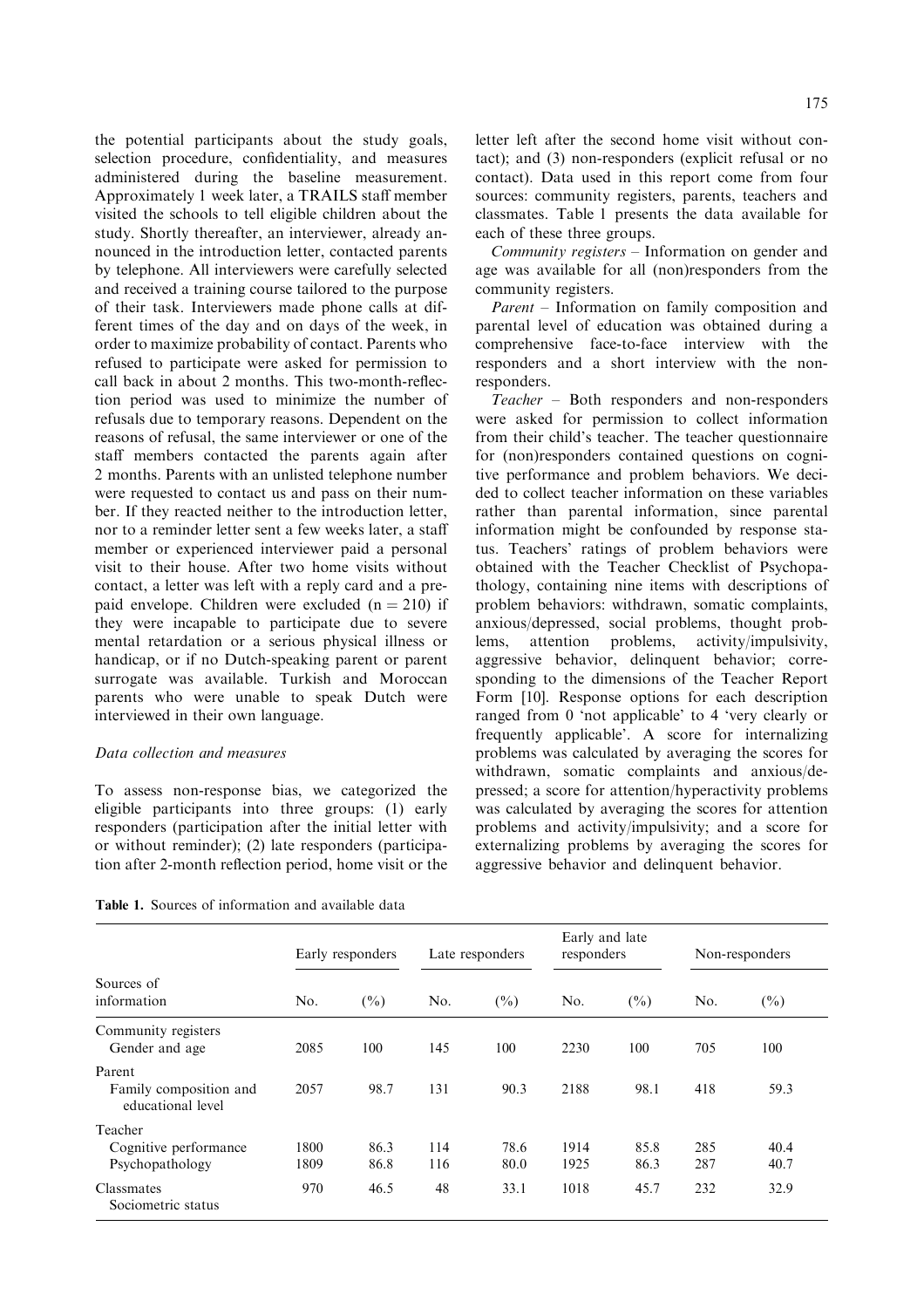the potential participants about the study goals, selection procedure, confidentiality, and measures administered during the baseline measurement. Approximately 1 week later, a TRAILS staff member visited the schools to tell eligible children about the study. Shortly thereafter, an interviewer, already announced in the introduction letter, contacted parents by telephone. All interviewers were carefully selected and received a training course tailored to the purpose of their task. Interviewers made phone calls at different times of the day and on days of the week, in order to maximize probability of contact. Parents who refused to participate were asked for permission to call back in about 2 months. This two-month-reflection period was used to minimize the number of refusals due to temporary reasons. Dependent on the reasons of refusal, the same interviewer or one of the staff members contacted the parents again after 2 months. Parents with an unlisted telephone number were requested to contact us and pass on their number. If they reacted neither to the introduction letter, nor to a reminder letter sent a few weeks later, a staff member or experienced interviewer paid a personal visit to their house. After two home visits without contact, a letter was left with a reply card and a prepaid envelope. Children were excluded  $(n = 210)$  if they were incapable to participate due to severe mental retardation or a serious physical illness or handicap, or if no Dutch-speaking parent or parent surrogate was available. Turkish and Moroccan parents who were unable to speak Dutch were interviewed in their own language.

## Data collection and measures

To assess non-response bias, we categorized the eligible participants into three groups: (1) early responders (participation after the initial letter with or without reminder); (2) late responders (participation after 2-month reflection period, home visit or the

Table 1. Sources of information and available data

letter left after the second home visit without contact); and (3) non-responders (explicit refusal or no contact). Data used in this report come from four sources: community registers, parents, teachers and classmates. Table 1 presents the data available for each of these three groups.

Community registers – Information on gender and age was available for all (non)responders from the community registers.

Parent – Information on family composition and parental level of education was obtained during a comprehensive face-to-face interview with the responders and a short interview with the nonresponders.

Teacher – Both responders and non-responders were asked for permission to collect information from their child's teacher. The teacher questionnaire for (non)responders contained questions on cognitive performance and problem behaviors. We decided to collect teacher information on these variables rather than parental information, since parental information might be confounded by response status. Teachers' ratings of problem behaviors were obtained with the Teacher Checklist of Psychopathology, containing nine items with descriptions of problem behaviors: withdrawn, somatic complaints, anxious/depressed, social problems, thought problems, attention problems, activity/impulsivity, aggressive behavior, delinquent behavior; corresponding to the dimensions of the Teacher Report Form [10]. Response options for each description ranged from 0 'not applicable' to 4 'very clearly or frequently applicable'. A score for internalizing problems was calculated by averaging the scores for withdrawn, somatic complaints and anxious/depressed; a score for attention/hyperactivity problems was calculated by averaging the scores for attention problems and activity/impulsivity; and a score for externalizing problems by averaging the scores for aggressive behavior and delinquent behavior.

|                                                       |      | Early responders |     | Late responders | Early and late<br>responders |                 |     | Non-responders |
|-------------------------------------------------------|------|------------------|-----|-----------------|------------------------------|-----------------|-----|----------------|
| Sources of<br>information                             | No.  | $(\frac{0}{0})$  | No. | $(\frac{0}{0})$ | No.                          | $(\frac{0}{0})$ | No. | $(\%)$         |
| Community registers<br>Gender and age                 | 2085 | 100              | 145 | 100             | 2230                         | 100             | 705 | 100            |
| Parent<br>Family composition and<br>educational level | 2057 | 98.7             | 131 | 90.3            | 2188                         | 98.1            | 418 | 59.3           |
| Teacher                                               |      |                  |     |                 |                              |                 |     |                |
| Cognitive performance                                 | 1800 | 86.3             | 114 | 78.6            | 1914                         | 85.8            | 285 | 40.4           |
| Psychopathology                                       | 1809 | 86.8             | 116 | 80.0            | 1925                         | 86.3            | 287 | 40.7           |
| Classmates<br>Sociometric status                      | 970  | 46.5             | 48  | 33.1            | 1018                         | 45.7            | 232 | 32.9           |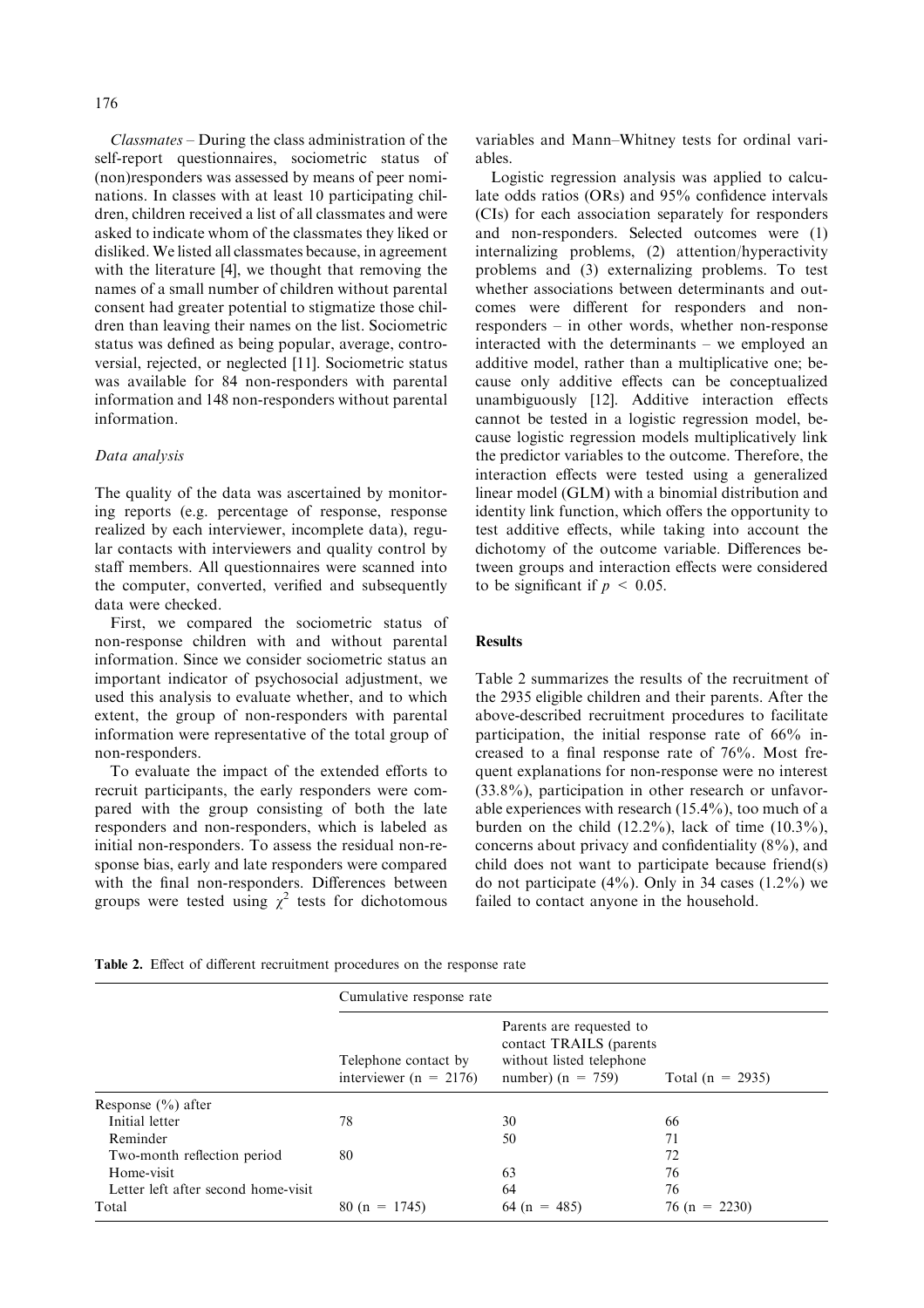Classmates – During the class administration of the self-report questionnaires, sociometric status of (non)responders was assessed by means of peer nominations. In classes with at least 10 participating children, children received a list of all classmates and were asked to indicate whom of the classmates they liked or disliked. We listed all classmates because, in agreement with the literature [4], we thought that removing the names of a small number of children without parental consent had greater potential to stigmatize those children than leaving their names on the list. Sociometric status was defined as being popular, average, controversial, rejected, or neglected [11]. Sociometric status was available for 84 non-responders with parental information and 148 non-responders without parental information.

#### Data analysis

The quality of the data was ascertained by monitoring reports (e.g. percentage of response, response realized by each interviewer, incomplete data), regular contacts with interviewers and quality control by staff members. All questionnaires were scanned into the computer, converted, verified and subsequently data were checked.

First, we compared the sociometric status of non-response children with and without parental information. Since we consider sociometric status an important indicator of psychosocial adjustment, we used this analysis to evaluate whether, and to which extent, the group of non-responders with parental information were representative of the total group of non-responders.

To evaluate the impact of the extended efforts to recruit participants, the early responders were compared with the group consisting of both the late responders and non-responders, which is labeled as initial non-responders. To assess the residual non-response bias, early and late responders were compared with the final non-responders. Differences between groups were tested using  $\chi^2$  tests for dichotomous

variables and Mann–Whitney tests for ordinal variables.

Logistic regression analysis was applied to calculate odds ratios (ORs) and 95% confidence intervals (CIs) for each association separately for responders and non-responders. Selected outcomes were (1) internalizing problems, (2) attention/hyperactivity problems and (3) externalizing problems. To test whether associations between determinants and outcomes were different for responders and nonresponders – in other words, whether non-response interacted with the determinants – we employed an additive model, rather than a multiplicative one; because only additive effects can be conceptualized unambiguously [12]. Additive interaction effects cannot be tested in a logistic regression model, because logistic regression models multiplicatively link the predictor variables to the outcome. Therefore, the interaction effects were tested using a generalized linear model (GLM) with a binomial distribution and identity link function, which offers the opportunity to test additive effects, while taking into account the dichotomy of the outcome variable. Differences between groups and interaction effects were considered to be significant if  $p \leq 0.05$ .

# **Results**

Table 2 summarizes the results of the recruitment of the 2935 eligible children and their parents. After the above-described recruitment procedures to facilitate participation, the initial response rate of 66% increased to a final response rate of 76%. Most frequent explanations for non-response were no interest (33.8%), participation in other research or unfavorable experiences with research (15.4%), too much of a burden on the child  $(12.2\%)$ , lack of time  $(10.3\%)$ , concerns about privacy and confidentiality (8%), and child does not want to participate because friend(s) do not participate  $(4\%)$ . Only in 34 cases  $(1.2\%)$  we failed to contact anyone in the household.

Table 2. Effect of different recruitment procedures on the response rate

|                                     | Cumulative response rate                           |                                                                                                         |                  |
|-------------------------------------|----------------------------------------------------|---------------------------------------------------------------------------------------------------------|------------------|
|                                     | Telephone contact by<br>interviewer ( $n = 2176$ ) | Parents are requested to<br>contact TRAILS (parents<br>without listed telephone<br>number) (n = $759$ ) | Total (n = 2935) |
| Response $(\% )$ after              |                                                    |                                                                                                         |                  |
| Initial letter                      | 78                                                 | 30                                                                                                      | 66               |
| Reminder                            |                                                    | 50                                                                                                      | 71               |
| Two-month reflection period         | 80                                                 |                                                                                                         | 72               |
| Home-visit                          |                                                    | 63                                                                                                      | 76               |
| Letter left after second home-visit |                                                    | 64                                                                                                      | 76               |
| Total                               | $80(n = 1745)$                                     | $64(n = 485)$                                                                                           | $76(n = 2230)$   |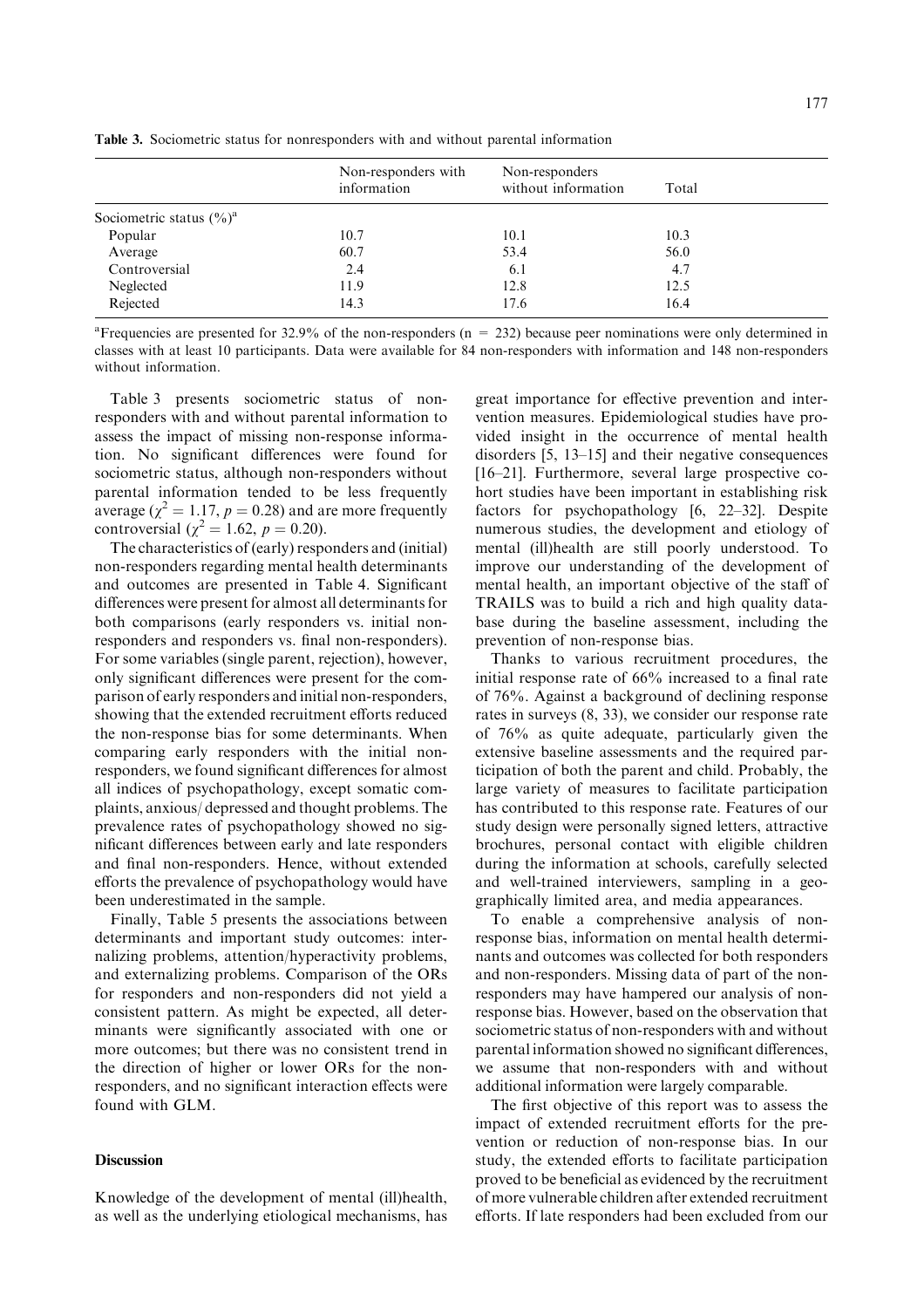Table 3. Sociometric status for nonresponders with and without parental information

|                              | Non-responders with<br>information | Non-responders<br>without information | Total |
|------------------------------|------------------------------------|---------------------------------------|-------|
| Sociometric status $(\% )^a$ |                                    |                                       |       |
| Popular                      | 10.7                               | 10.1                                  | 10.3  |
| Average                      | 60.7                               | 53.4                                  | 56.0  |
| Controversial                | 2.4                                | 6.1                                   | 4.7   |
| Neglected                    | 11.9                               | 12.8                                  | 12.5  |
| Rejected                     | 14.3                               | 17.6                                  | 16.4  |
|                              |                                    |                                       |       |

<sup>a</sup> Frequencies are presented for 32.9% of the non-responders ( $n = 232$ ) because peer nominations were only determined in classes with at least 10 participants. Data were available for 84 non-responders with information and 148 non-responders without information.

Table 3 presents sociometric status of nonresponders with and without parental information to assess the impact of missing non-response information. No significant differences were found for sociometric status, although non-responders without parental information tended to be less frequently average ( $\chi^2$  = 1.17, p = 0.28) and are more frequently controversial ( $\chi^2 = 1.62$ ,  $p = 0.20$ ).

The characteristics of (early) responders and (initial) non-responders regarding mental health determinants and outcomes are presented in Table 4. Significant differences were present for almost all determinants for both comparisons (early responders vs. initial nonresponders and responders vs. final non-responders). For some variables (single parent, rejection), however, only significant differences were present for the comparison of early responders and initial non-responders, showing that the extended recruitment efforts reduced the non-response bias for some determinants. When comparing early responders with the initial nonresponders, we found significant differences for almost all indices of psychopathology, except somatic complaints, anxious/ depressed and thought problems. The prevalence rates of psychopathology showed no significant differences between early and late responders and final non-responders. Hence, without extended efforts the prevalence of psychopathology would have been underestimated in the sample.

Finally, Table 5 presents the associations between determinants and important study outcomes: internalizing problems, attention/hyperactivity problems, and externalizing problems. Comparison of the ORs for responders and non-responders did not yield a consistent pattern. As might be expected, all determinants were significantly associated with one or more outcomes; but there was no consistent trend in the direction of higher or lower ORs for the nonresponders, and no significant interaction effects were found with GLM.

### Discussion

Knowledge of the development of mental (ill)health, as well as the underlying etiological mechanisms, has great importance for effective prevention and intervention measures. Epidemiological studies have provided insight in the occurrence of mental health disorders [5, 13–15] and their negative consequences [16–21]. Furthermore, several large prospective cohort studies have been important in establishing risk factors for psychopathology [6, 22–32]. Despite numerous studies, the development and etiology of mental (ill)health are still poorly understood. To improve our understanding of the development of mental health, an important objective of the staff of TRAILS was to build a rich and high quality database during the baseline assessment, including the prevention of non-response bias.

Thanks to various recruitment procedures, the initial response rate of 66% increased to a final rate of 76%. Against a background of declining response rates in surveys (8, 33), we consider our response rate of 76% as quite adequate, particularly given the extensive baseline assessments and the required participation of both the parent and child. Probably, the large variety of measures to facilitate participation has contributed to this response rate. Features of our study design were personally signed letters, attractive brochures, personal contact with eligible children during the information at schools, carefully selected and well-trained interviewers, sampling in a geographically limited area, and media appearances.

To enable a comprehensive analysis of nonresponse bias, information on mental health determinants and outcomes was collected for both responders and non-responders. Missing data of part of the nonresponders may have hampered our analysis of nonresponse bias. However, based on the observation that sociometric status of non-responders with and without parental information showed no significant differences, we assume that non-responders with and without additional information were largely comparable.

The first objective of this report was to assess the impact of extended recruitment efforts for the prevention or reduction of non-response bias. In our study, the extended efforts to facilitate participation proved to be beneficial as evidenced by the recruitment of more vulnerable children after extended recruitment efforts. If late responders had been excluded from our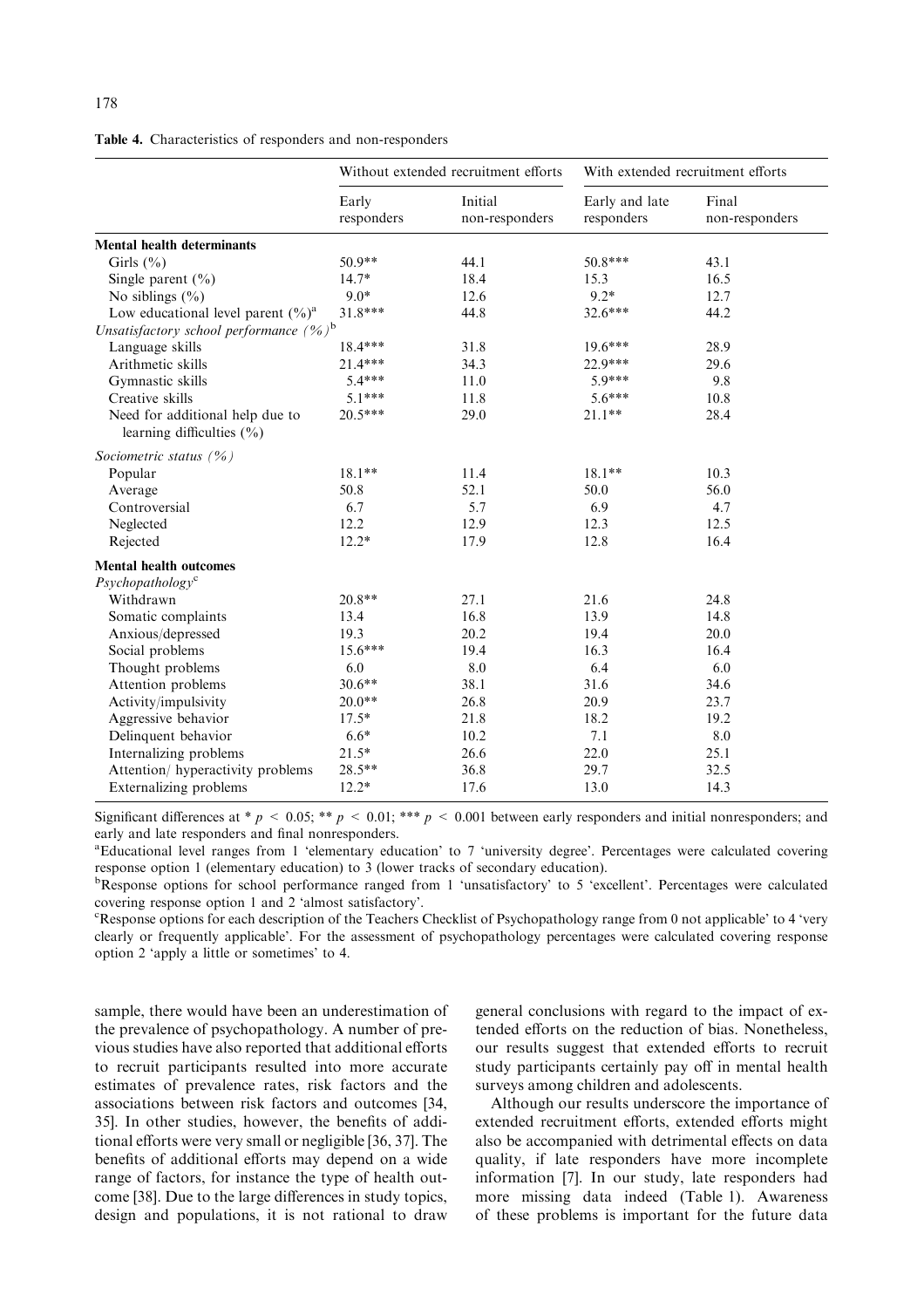Table 4. Characteristics of responders and non-responders

|                                                                  |                     | Without extended recruitment efforts | With extended recruitment efforts |                         |
|------------------------------------------------------------------|---------------------|--------------------------------------|-----------------------------------|-------------------------|
|                                                                  | Early<br>responders | Initial<br>non-responders            | Early and late<br>responders      | Final<br>non-responders |
| <b>Mental health determinants</b>                                |                     |                                      |                                   |                         |
| Girls $(\% )$                                                    | 50.9**              | 44.1                                 | 50.8***                           | 43.1                    |
| Single parent $(\% )$                                            | $14.7*$             | 18.4                                 | 15.3                              | 16.5                    |
| No siblings $(\% )$                                              | $9.0*$              | 12.6                                 | $9.2*$                            | 12.7                    |
| Low educational level parent $(\frac{9}{0})^a$                   | 31.8***             | 44.8                                 | 32.6***                           | 44.2                    |
| Unsatisfactory school performance $(%)^b$                        |                     |                                      |                                   |                         |
| Language skills                                                  | 18.4***             | 31.8                                 | $19.6***$                         | 28.9                    |
| Arithmetic skills                                                | 21.4***             | 34.3                                 | 22.9***                           | 29.6                    |
| Gymnastic skills                                                 | $5.4***$            | 11.0                                 | $5.9***$                          | 9.8                     |
| Creative skills                                                  | $5.1***$            | 11.8                                 | $5.6***$                          | 10.8                    |
| Need for additional help due to<br>learning difficulties $(\% )$ | $20.5***$           | 29.0                                 | $21.1**$                          | 28.4                    |
| Sociometric status $(%)$                                         |                     |                                      |                                   |                         |
| Popular                                                          | $18.1**$            | 11.4                                 | $18.1**$                          | 10.3                    |
| Average                                                          | 50.8                | 52.1                                 | 50.0                              | 56.0                    |
| Controversial                                                    | 6.7                 | 5.7                                  | 6.9                               | 4.7                     |
| Neglected                                                        | 12.2                | 12.9                                 | 12.3                              | 12.5                    |
| Rejected                                                         | $12.2*$             | 17.9                                 | 12.8                              | 16.4                    |
| <b>Mental health outcomes</b><br>Psychopathology <sup>c</sup>    |                     |                                      |                                   |                         |
| Withdrawn                                                        | $20.8**$            | 27.1                                 | 21.6                              | 24.8                    |
| Somatic complaints                                               | 13.4                | 16.8                                 | 13.9                              | 14.8                    |
| Anxious/depressed                                                | 19.3                | 20.2                                 | 19.4                              | 20.0                    |
| Social problems                                                  | $15.6***$           | 19.4                                 | 16.3                              | 16.4                    |
| Thought problems                                                 | 6.0                 | 8.0                                  | 6.4                               | 6.0                     |
| Attention problems                                               | $30.6**$            | 38.1                                 | 31.6                              | 34.6                    |
| Activity/impulsivity                                             | $20.0**$            | 26.8                                 | 20.9                              | 23.7                    |
| Aggressive behavior                                              | $17.5*$             | 21.8                                 | 18.2                              | 19.2                    |
| Delinquent behavior                                              | $6.6*$              | 10.2                                 | 7.1                               | 8.0                     |
| Internalizing problems                                           | $21.5*$             | 26.6                                 | 22.0                              | 25.1                    |
| Attention/ hyperactivity problems                                | 28.5**              | 36.8                                 | 29.7                              | 32.5                    |
| Externalizing problems                                           | $12.2*$             | 17.6                                 | 13.0                              | 14.3                    |

Significant differences at \*  $p < 0.05$ ; \*\*  $p < 0.01$ ; \*\*\*  $p < 0.001$  between early responders and initial nonresponders; and early and late responders and final nonresponders.

<sup>a</sup>Educational level ranges from 1 'elementary education' to 7 'university degree'. Percentages were calculated covering response option 1 (elementary education) to 3 (lower tracks of secondary education).

<sup>b</sup>Response options for school performance ranged from 1 'unsatisfactory' to 5 'excellent'. Percentages were calculated covering response option 1 and 2 'almost satisfactory'.

<sup>c</sup>Response options for each description of the Teachers Checklist of Psychopathology range from 0 not applicable' to 4 'very clearly or frequently applicable'. For the assessment of psychopathology percentages were calculated covering response option 2 'apply a little or sometimes' to 4.

sample, there would have been an underestimation of the prevalence of psychopathology. A number of previous studies have also reported that additional efforts to recruit participants resulted into more accurate estimates of prevalence rates, risk factors and the associations between risk factors and outcomes [34, 35]. In other studies, however, the benefits of additional efforts were very small or negligible [36, 37]. The benefits of additional efforts may depend on a wide range of factors, for instance the type of health outcome [38]. Due to the large differences in study topics, design and populations, it is not rational to draw

general conclusions with regard to the impact of extended efforts on the reduction of bias. Nonetheless, our results suggest that extended efforts to recruit study participants certainly pay off in mental health surveys among children and adolescents.

Although our results underscore the importance of extended recruitment efforts, extended efforts might also be accompanied with detrimental effects on data quality, if late responders have more incomplete information [7]. In our study, late responders had more missing data indeed (Table 1). Awareness of these problems is important for the future data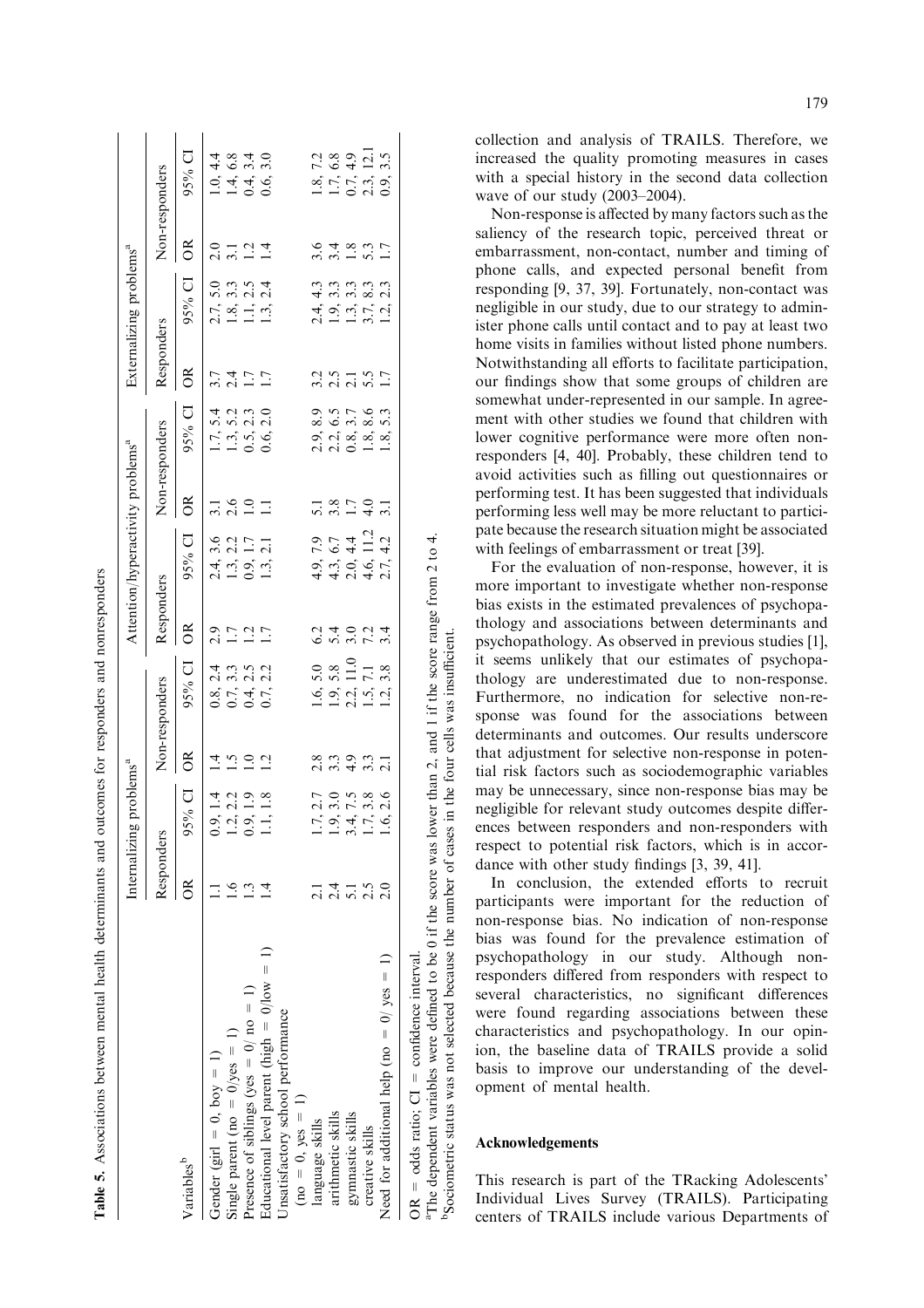|                                                |     | Internalizing problems <sup>a</sup>        |                                  |                                                                  |                      | Attention/hyperactivity problems <sup>a</sup>                      |                   |                                                                               |                                 | Externalizing problems <sup>a</sup>                                                  |                           |                                                              |
|------------------------------------------------|-----|--------------------------------------------|----------------------------------|------------------------------------------------------------------|----------------------|--------------------------------------------------------------------|-------------------|-------------------------------------------------------------------------------|---------------------------------|--------------------------------------------------------------------------------------|---------------------------|--------------------------------------------------------------|
|                                                |     | Responders                                 |                                  | Non-responders                                                   | Responders           |                                                                    |                   | Non-responders                                                                | Responders                      |                                                                                      |                           | Non-responders                                               |
| Variables <sup>b</sup>                         | õ   | 95% CI                                     | $\Im$                            | 95% CI                                                           | $\alpha$             | 95% CI                                                             | $\Im$             | 95% CI                                                                        | $\alpha$                        | 95% CI                                                                               | $\alpha$                  | 95% CI                                                       |
| Gender (girl = $0$ , boy = 1)                  |     | $\vec{a}$                                  | $\bar{4}$                        |                                                                  |                      |                                                                    | $\Xi$             |                                                                               |                                 |                                                                                      | $\frac{0}{2}$             |                                                              |
| Single parent (no = $0/\text{yes} = 1$ )       |     | 9.19.7                                     | $\frac{0}{2}$                    |                                                                  | $\frac{2.9}{1.7}$    |                                                                    | $2.6$<br>1.0      |                                                                               | 2 1 1 1<br>2 1 1 1<br>2 1 1 1 1 |                                                                                      | 3.1                       |                                                              |
| Presence of siblings (yes = $0/$ no = 1)       |     | $2.9$<br>$-1.8$                            |                                  |                                                                  | $\frac{2}{17}$       |                                                                    |                   |                                                                               |                                 |                                                                                      | $\frac{2}{1} \frac{4}{1}$ |                                                              |
| Educational level parent (high $= 0/10w = 1$ ) |     |                                            | $\overline{12}$                  | $0.8$ , $3.3$<br>$0.7$ , $3.3$<br>$0.4$ , $2.2$<br>$0.7$ , $2.2$ |                      | $2.4$ , $3.6$<br>$1.3$ , $2.2$<br>$1.7$<br>$1.1$<br>$1.3$<br>$1.1$ | $\Xi$             | $1.7, 5.4$<br>$1.3, 5.2$<br>$0.5, 2.3$<br>$0.6, 2.0$                          |                                 | $2.7, 5.0$<br>$1.8, 3.3$<br>$1.1, 2.4$<br>$1.3, 2.4$                                 |                           | $1.0, 4.4$<br>$1.4, 6.8$<br>$1.4, 3.0$<br>$0.6, 3.0$         |
| Unsatisfactory school performance              |     |                                            |                                  |                                                                  |                      |                                                                    |                   |                                                                               |                                 |                                                                                      |                           |                                                              |
| $(no = 0, yes = 1)$                            |     |                                            |                                  |                                                                  |                      |                                                                    |                   |                                                                               |                                 |                                                                                      |                           |                                                              |
| language skills                                |     |                                            |                                  |                                                                  |                      |                                                                    |                   |                                                                               |                                 |                                                                                      |                           |                                                              |
| arithmetic skills                              | 2.4 |                                            |                                  |                                                                  |                      |                                                                    | $\frac{5.1}{3.8}$ |                                                                               |                                 |                                                                                      |                           |                                                              |
| gymnastic skills                               | 5.1 |                                            |                                  |                                                                  |                      |                                                                    |                   |                                                                               |                                 |                                                                                      |                           |                                                              |
| creative skills                                | 2.5 | 7.05.06<br>2.05.06.07<br>1.9, 4, 7, 6, 1.6 | 8. 9. 9. 9. 7.<br>8. 9. 9. 9. 7. | 1.6, 5.0<br>1.9, 5.8<br>2.2, 11.0<br>1.5, 7.1<br>1.2, 3.8        | $0.4004$<br>$0.4004$ | $49, 79$<br>$4.3, 6.7$<br>$4.3, 6.4$<br>$4.6, 11.2$<br>$4.2, 4.2$  | 4.0               | $2.9$<br>$2.1$<br>$2.3$<br>$3.5$<br>$1.8$<br>$3.5$<br>$1.8$<br>$1.8$<br>$1.8$ | $3.5 - 5.7$<br>$3.5 - 5.7$      | $2.4$ , $3.3$<br>$1.9$ , $3.3$<br>$1.3$<br>$1.2$<br>$1.2$<br>$1.3$<br>$1.2$<br>$1.3$ | $3.4837$ $-5.7$           | 1.8, 7.2<br>1.7, 6.8<br>1.7, 4.9<br>0.2, 3, 12.1<br>0.9, 3.5 |
| Need for additional help (no = $0/$ yes = 1)   |     |                                            |                                  |                                                                  |                      |                                                                    | $\overline{3}$    |                                                                               |                                 |                                                                                      |                           |                                                              |

Table 5. Associations between mental health determinants and outcomes for responders and nonresponders

<sup>a</sup>The dependent variables were defined to be 0 if the score was lower than 2, and 1 if the score range from 2 to 4. from  $2$  to OK = 0dds ratio;  $C_1$  = connetence interval.<br>"The dependent variables were defined to be 0 if the score was lower than 2, and 1 if the score range<br>"Sociometric status was not selected become the number of cases in the fo bSociometric status was not selected because the number of cases in the four cells was insufficient. number of cases in the four cells was insufficient the Sociometric status was not selected because

 $\overline{4}$ 

collection and analysis of TRAILS. Therefore, we increased the quality promoting measures in cases with a special history in the second data collection wave of our study (2003–2004).

Non-response is affected by many factors such as the saliency of the research topic, perceived threat or embarrassment, non-contact, number and timing of phone calls, and expected personal benefit from responding [9, 37, 39]. Fortunately, non-contact was negligible in our study, due to our strategy to administer phone calls until contact and to pay at least two home visits in families without listed phone numbers. Notwithstanding all efforts to facilitate participation, our findings show that some groups of children are somewhat under-represented in our sample. In agreement with other studies we found that children with lower cognitive performance were more often nonresponders [4, 40]. Probably, these children tend to avoid activities such as filling out questionnaires or performing test. It has been suggested that individuals performing less well may be more reluctant to participate because the research situation might be associated with feelings of embarrassment or treat [39].

For the evaluation of non-response, however, it is more important to investigate whether non-response bias exists in the estimated prevalences of psychopathology and associations between determinants and psychopathology. As observed in previous studies [1], it seems unlikely that our estimates of psychopathology are underestimated due to non-response. Furthermore, no indication for selective non-response was found for the associations between determinants and outcomes. Our results underscore that adjustment for selective non-response in potential risk factors such as sociodemographic variables may be unnecessary, since non-response bias may be negligible for relevant study outcomes despite differences between responders and non-responders with respect to potential risk factors, which is in accordance with other study findings [3, 39, 41].

In conclusion, the extended efforts to recruit participants were important for the reduction of non-response bias. No indication of non-response bias was found for the prevalence estimation of psychopathology in our study. Although nonresponders differed from responders with respect to several characteristics, no significant differences were found regarding associations between these characteristics and psychopathology. In our opinion, the baseline data of TRAILS provide a solid basis to improve our understanding of the development of mental health.

## Acknowledgements

This research is part of the TRacking Adolescents' Individual Lives Survey (TRAILS). Participating centers of TRAILS include various Departments of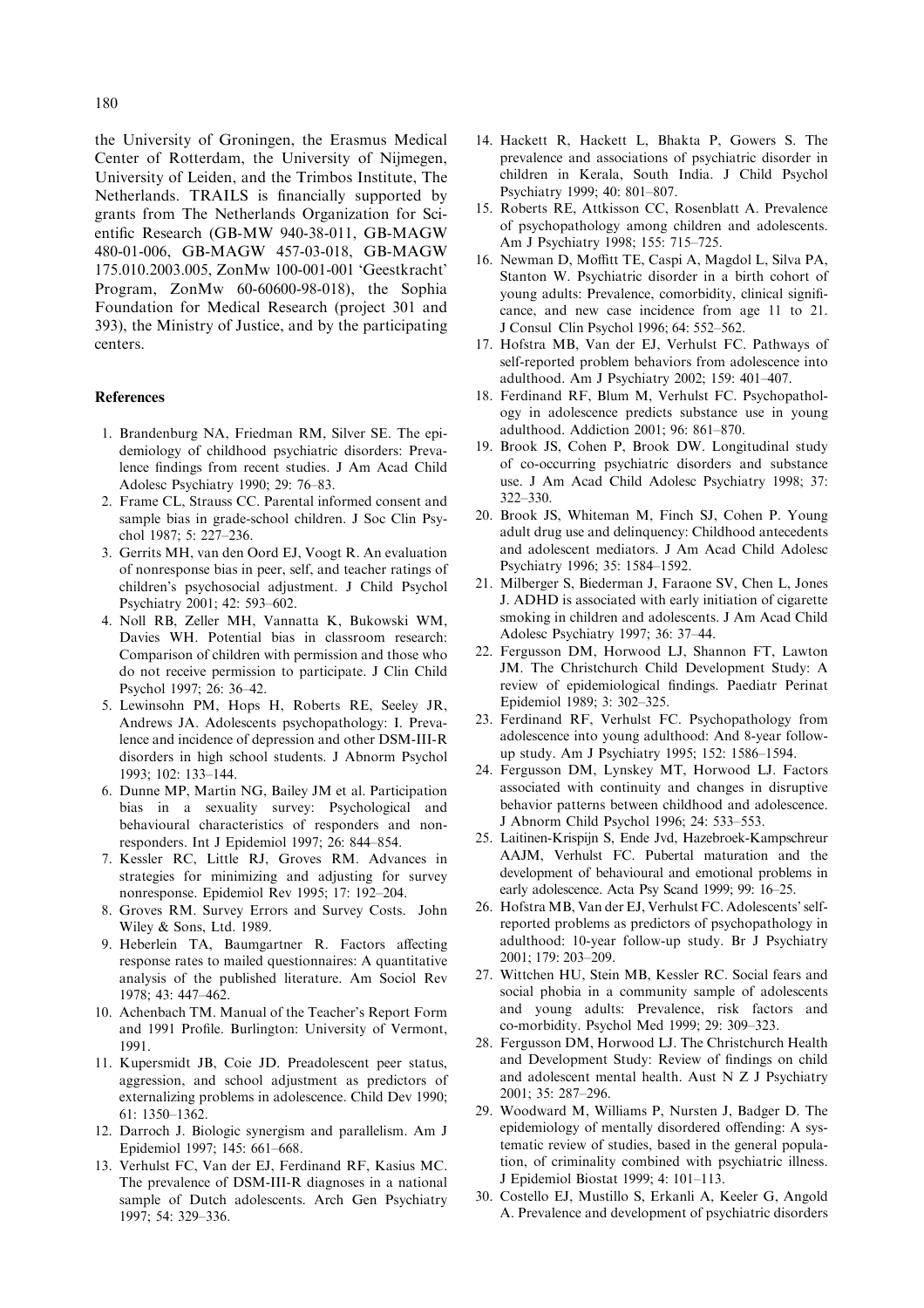the University of Groningen, the Erasmus Medical Center of Rotterdam, the University of Nijmegen, University of Leiden, and the Trimbos Institute, The Netherlands. TRAILS is financially supported by grants from The Netherlands Organization for Scientific Research (GB-MW 940-38-011, GB-MAGW 480-01-006, GB-MAGW 457-03-018, GB-MAGW 175.010.2003.005, ZonMw 100-001-001 'Geestkracht' Program, ZonMw 60-60600-98-018), the Sophia Foundation for Medical Research (project 301 and 393), the Ministry of Justice, and by the participating centers.

#### **References**

- 1. Brandenburg NA, Friedman RM, Silver SE. The epidemiology of childhood psychiatric disorders: Prevalence findings from recent studies. J Am Acad Child Adolesc Psychiatry 1990; 29: 76–83.
- 2. Frame CL, Strauss CC. Parental informed consent and sample bias in grade-school children. J Soc Clin Psychol 1987; 5: 227–236.
- 3. Gerrits MH, van den Oord EJ, Voogt R. An evaluation of nonresponse bias in peer, self, and teacher ratings of children's psychosocial adjustment. J Child Psychol Psychiatry 2001; 42: 593–602.
- 4. Noll RB, Zeller MH, Vannatta K, Bukowski WM, Davies WH. Potential bias in classroom research: Comparison of children with permission and those who do not receive permission to participate. J Clin Child Psychol 1997; 26: 36–42.
- 5. Lewinsohn PM, Hops H, Roberts RE, Seeley JR, Andrews JA. Adolescents psychopathology: I. Prevalence and incidence of depression and other DSM-III-R disorders in high school students. J Abnorm Psychol 1993; 102: 133–144.
- 6. Dunne MP, Martin NG, Bailey JM et al. Participation bias in a sexuality survey: Psychological and behavioural characteristics of responders and nonresponders. Int J Epidemiol 1997; 26: 844–854.
- 7. Kessler RC, Little RJ, Groves RM. Advances in strategies for minimizing and adjusting for survey nonresponse. Epidemiol Rev 1995; 17: 192–204.
- 8. Groves RM. Survey Errors and Survey Costs. John Wiley & Sons, Ltd. 1989.
- 9. Heberlein TA, Baumgartner R. Factors affecting response rates to mailed questionnaires: A quantitative analysis of the published literature. Am Sociol Rev 1978; 43: 447–462.
- 10. Achenbach TM. Manual of the Teacher's Report Form and 1991 Profile. Burlington: University of Vermont, 1991.
- 11. Kupersmidt JB, Coie JD. Preadolescent peer status, aggression, and school adjustment as predictors of externalizing problems in adolescence. Child Dev 1990; 61: 1350–1362.
- 12. Darroch J. Biologic synergism and parallelism. Am J Epidemiol 1997; 145: 661–668.
- 13. Verhulst FC, Van der EJ, Ferdinand RF, Kasius MC. The prevalence of DSM-III-R diagnoses in a national sample of Dutch adolescents. Arch Gen Psychiatry 1997; 54: 329–336.
- 14. Hackett R, Hackett L, Bhakta P, Gowers S. The prevalence and associations of psychiatric disorder in children in Kerala, South India. J Child Psychol Psychiatry 1999; 40: 801–807.
- 15. Roberts RE, Attkisson CC, Rosenblatt A. Prevalence of psychopathology among children and adolescents. Am J Psychiatry 1998; 155: 715–725.
- 16. Newman D, Moffitt TE, Caspi A, Magdol L, Silva PA, Stanton W. Psychiatric disorder in a birth cohort of young adults: Prevalence, comorbidity, clinical significance, and new case incidence from age 11 to 21. J Consul Clin Psychol 1996; 64: 552–562.
- 17. Hofstra MB, Van der EJ, Verhulst FC. Pathways of self-reported problem behaviors from adolescence into adulthood. Am J Psychiatry 2002; 159: 401–407.
- 18. Ferdinand RF, Blum M, Verhulst FC. Psychopathology in adolescence predicts substance use in young adulthood. Addiction 2001; 96: 861–870.
- 19. Brook JS, Cohen P, Brook DW. Longitudinal study of co-occurring psychiatric disorders and substance use. J Am Acad Child Adolesc Psychiatry 1998; 37: 322–330.
- 20. Brook JS, Whiteman M, Finch SJ, Cohen P. Young adult drug use and delinquency: Childhood antecedents and adolescent mediators. J Am Acad Child Adolesc Psychiatry 1996; 35: 1584–1592.
- 21. Milberger S, Biederman J, Faraone SV, Chen L, Jones J. ADHD is associated with early initiation of cigarette smoking in children and adolescents. J Am Acad Child Adolesc Psychiatry 1997; 36: 37–44.
- 22. Fergusson DM, Horwood LJ, Shannon FT, Lawton JM. The Christchurch Child Development Study: A review of epidemiological findings. Paediatr Perinat Epidemiol 1989; 3: 302–325.
- 23. Ferdinand RF, Verhulst FC. Psychopathology from adolescence into young adulthood: And 8-year followup study. Am J Psychiatry 1995; 152: 1586–1594.
- 24. Fergusson DM, Lynskey MT, Horwood LJ. Factors associated with continuity and changes in disruptive behavior patterns between childhood and adolescence. J Abnorm Child Psychol 1996; 24: 533–553.
- 25. Laitinen-Krispijn S, Ende Jvd, Hazebroek-Kampschreur AAJM, Verhulst FC. Pubertal maturation and the development of behavioural and emotional problems in early adolescence. Acta Psy Scand 1999; 99: 16–25.
- 26. Hofstra MB, Van der EJ, Verhulst FC. Adolescents' selfreported problems as predictors of psychopathology in adulthood: 10-year follow-up study. Br J Psychiatry 2001; 179: 203–209.
- 27. Wittchen HU, Stein MB, Kessler RC. Social fears and social phobia in a community sample of adolescents and young adults: Prevalence, risk factors and co-morbidity. Psychol Med 1999; 29: 309–323.
- 28. Fergusson DM, Horwood LJ. The Christchurch Health and Development Study: Review of findings on child and adolescent mental health. Aust N Z J Psychiatry 2001; 35: 287–296.
- 29. Woodward M, Williams P, Nursten J, Badger D. The epidemiology of mentally disordered offending: A systematic review of studies, based in the general population, of criminality combined with psychiatric illness. J Epidemiol Biostat 1999; 4: 101–113.
- 30. Costello EJ, Mustillo S, Erkanli A, Keeler G, Angold A. Prevalence and development of psychiatric disorders